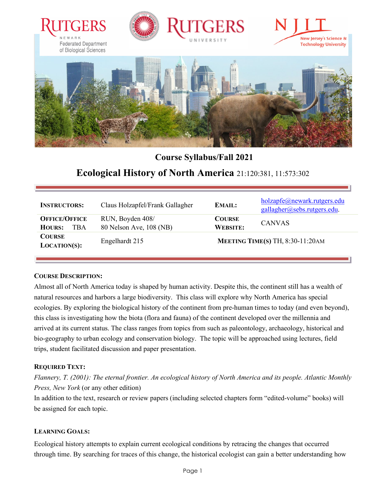







# **Course Syllabus/Fall 2021**

# **Ecological History of North America** 21:120:381, 11:573:302

| <b>INSTRUCTORS:</b>                                 | Claus Holzapfel/Frank Gallagher             | <b>EMAIL:</b>                    | holzapfe@newark.rutgers.edu<br>gallagher@sebs.rutgers.edu. |
|-----------------------------------------------------|---------------------------------------------|----------------------------------|------------------------------------------------------------|
| <b>OFFICE/OFFICE</b><br><b>HOURS:</b><br><b>TBA</b> | RUN, Boyden 408/<br>80 Nelson Ave, 108 (NB) | <b>COURSE</b><br><b>WEBSITE:</b> | <b>CANVAS</b>                                              |
| <b>COURSE</b><br>$LOCATION(S):$                     | Engelhardt 215                              |                                  | MEETING TIME(S) TH, 8:30-11:20AM                           |

#### **COURSE DESCRIPTION:**

Almost all of North America today is shaped by human activity. Despite this, the continent still has a wealth of natural resources and harbors a large biodiversity. This class will explore why North America has special ecologies. By exploring the biological history of the continent from pre-human times to today (and even beyond), this class is investigating how the biota (flora and fauna) of the continent developed over the millennia and arrived at its current status. The class ranges from topics from such as paleontology, archaeology, historical and bio-geography to urban ecology and conservation biology. The topic will be approached using lectures, field trips, student facilitated discussion and paper presentation.

## **REQUIRED TEXT:**

*Flannery, T. (2001): The eternal frontier. An ecological history of North America and its people. Atlantic Monthly Press, New York* (or any other edition)

In addition to the text, research or review papers (including selected chapters form "edited-volume" books) will be assigned for each topic.

## **LEARNING GOALS:**

Ecological history attempts to explain current ecological conditions by retracing the changes that occurred through time. By searching for traces of this change, the historical ecologist can gain a better understanding how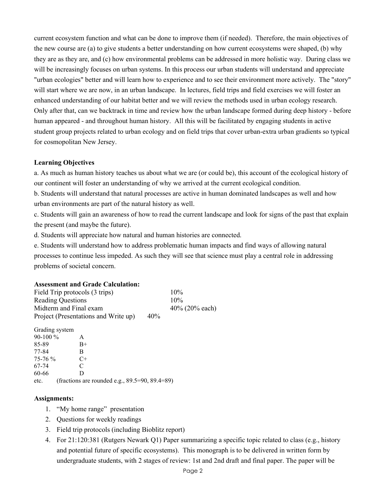current ecosystem function and what can be done to improve them (if needed). Therefore, the main objectives of the new course are (a) to give students a better understanding on how current ecosystems were shaped, (b) why they are as they are, and (c) how environmental problems can be addressed in more holistic way. During class we will be increasingly focuses on urban systems. In this process our urban students will understand and appreciate "urban ecologies" better and will learn how to experience and to see their environment more actively. The "story" will start where we are now, in an urban landscape. In lectures, field trips and field exercises we will foster an enhanced understanding of our habitat better and we will review the methods used in urban ecology research. Only after that, can we backtrack in time and review how the urban landscape formed during deep history - before human appeared - and throughout human history. All this will be facilitated by engaging students in active student group projects related to urban ecology and on field trips that cover urban-extra urban gradients so typical for cosmopolitan New Jersey.

#### **Learning Objectives**

a. As much as human history teaches us about what we are (or could be), this account of the ecological history of our continent will foster an understanding of why we arrived at the current ecological condition.

b. Students will understand that natural processes are active in human dominated landscapes as well and how urban environments are part of the natural history as well.

c. Students will gain an awareness of how to read the current landscape and look for signs of the past that explain the present (and maybe the future).

d. Students will appreciate how natural and human histories are connected.

e. Students will understand how to address problematic human impacts and find ways of allowing natural processes to continue less impeded. As such they will see that science must play a central role in addressing problems of societal concern.

#### **Assessment and Grade Calculation:**

| Field Trip protocols (3 trips)       |     | 10%              |
|--------------------------------------|-----|------------------|
| <b>Reading Questions</b>             |     | $10\%$           |
| Midterm and Final exam               |     | 40% $(20%$ each) |
| Project (Presentations and Write up) | 40% |                  |

Grading system 90-100 % A 85-89 B+ 77-84 B 75-76 % C+ 67-74 C 60-66 D etc. (fractions are rounded e.g., 89.5=90, 89.4=89)

#### **Assignments:**

- 1. "My home range" presentation
- 2. Questions for weekly readings
- 3. Field trip protocols (including Bioblitz report)
- 4. For 21:120:381 (Rutgers Newark Q1) Paper summarizing a specific topic related to class (e.g., history and potential future of specific ecosystems). This monograph is to be delivered in written form by undergraduate students, with 2 stages of review: 1st and 2nd draft and final paper. The paper will be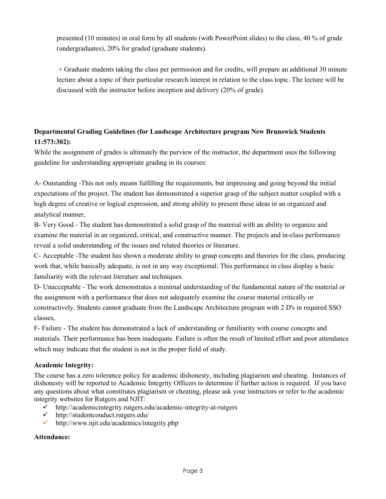presented (10 minutes) in oral form by all students (with PowerPoint slides) to the class, 40 % of grade (undergraduates), 20% for graded (graduate students).

+ Graduate students taking the class per permission and for credits, will prepare an additional 30 minute lecture about a topic of their particular research interest in relation to the class topic. The lecture will be discussed with the instructor before inception and delivery (20% of grade).

# **Departmental Grading Guidelines (for Landscape Architecture program New Brunswick Students 11:573:302):**

While the assignment of grades is ultimately the purview of the instructor, the department uses the following guideline for understanding appropriate grading in its courses:

A- Outstanding -This not only means fulfilling the requirements, but impressing and going beyond the initial expectations of the project. The student has demonstrated a superior grasp of the subject matter coupled with a high degree of creative or logical expression, and strong ability to present these ideas in an organized and analytical manner,

B- Very Good - The student has demonstrated a solid grasp of the material with an ability to organize and examine the material in an organized, critical, and constructive manner. The projects and in-class performance reveal a solid understanding of the issues and related theories or literature.

C- Acceptable -The student has shown a moderate ability to grasp concepts and theories for the class, producing work that, while basically adequate, is not in any way exceptional. This performance in class display a basic familiarity with the relevant literature and techniques.

D- Unacceptable - The work demonstrates a minimal understanding of the fundamental nature of the material or the assignment with a performance that does not adequately examine the course material critically or constructively. Students cannot graduate from the Landscape Architecture program with 2 D's in required SSO classes,

F- Failure - The student has demonstrated a lack of understanding or familiarity with course concepts and materials. Their performance has been inadequate. Failure is often the result of limited effort and poor attendance which may indicate that the student is not in the proper field of study.

## **Academic Integrity:**

The course has a zero tolerance policy for academic dishonesty, including plagiarism and cheating. Instances of dishonesty will be reported to Academic Integrity Officers to determine if further action is required. If you have any questions about what constitutes plagiarism or cheating, please ask your instructors or refer to the academic integrity websites for Rutgers and NJIT:

- <http://academicintegrity.rutgers.edu/academic-integrity-at-rutgers>
- $\checkmark$  <http://studentconduct.rutgers.edu/>
- <http://www.njit.edu/academics/integrity.php>

# **Attendance:**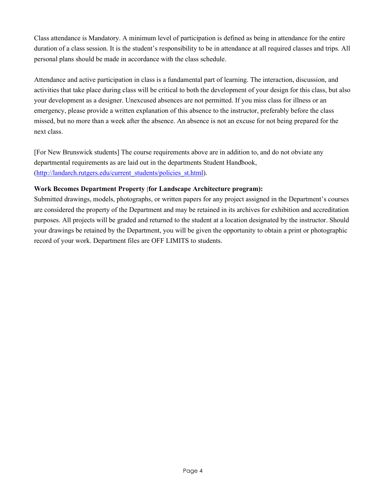Class attendance is Mandatory. A minimum level of participation is defined as being in attendance for the entire duration of a class session. It is the student's responsibility to be in attendance at all required classes and trips. All personal plans should be made in accordance with the class schedule.

Attendance and active participation in class is a fundamental part of learning. The interaction, discussion, and activities that take place during class will be critical to both the development of your design for this class, but also your development as a designer. Unexcused absences are not permitted. If you miss class for illness or an emergency, please provide a written explanation of this absence to the instructor, preferably before the class missed, but no more than a week after the absence. An absence is not an excuse for not being prepared for the next class.

[For New Brunswick students] The course requirements above are in addition to, and do not obviate any departmental requirements as are laid out in the departments Student Handbook, [\(http://landarch.rutgers.edu/current\\_students/policies\\_st.html\)](http://landarch.rutgers.edu/current_students/policies_st.html).

# **Work Becomes Department Property** (**for Landscape Architecture program):**

Submitted drawings, models, photographs, or written papers for any project assigned in the Department's courses are considered the property of the Department and may be retained in its archives for exhibition and accreditation purposes. All projects will be graded and returned to the student at a location designated by the instructor. Should your drawings be retained by the Department, you will be given the opportunity to obtain a print or photographic record of your work. Department files are OFF LIMITS to students.